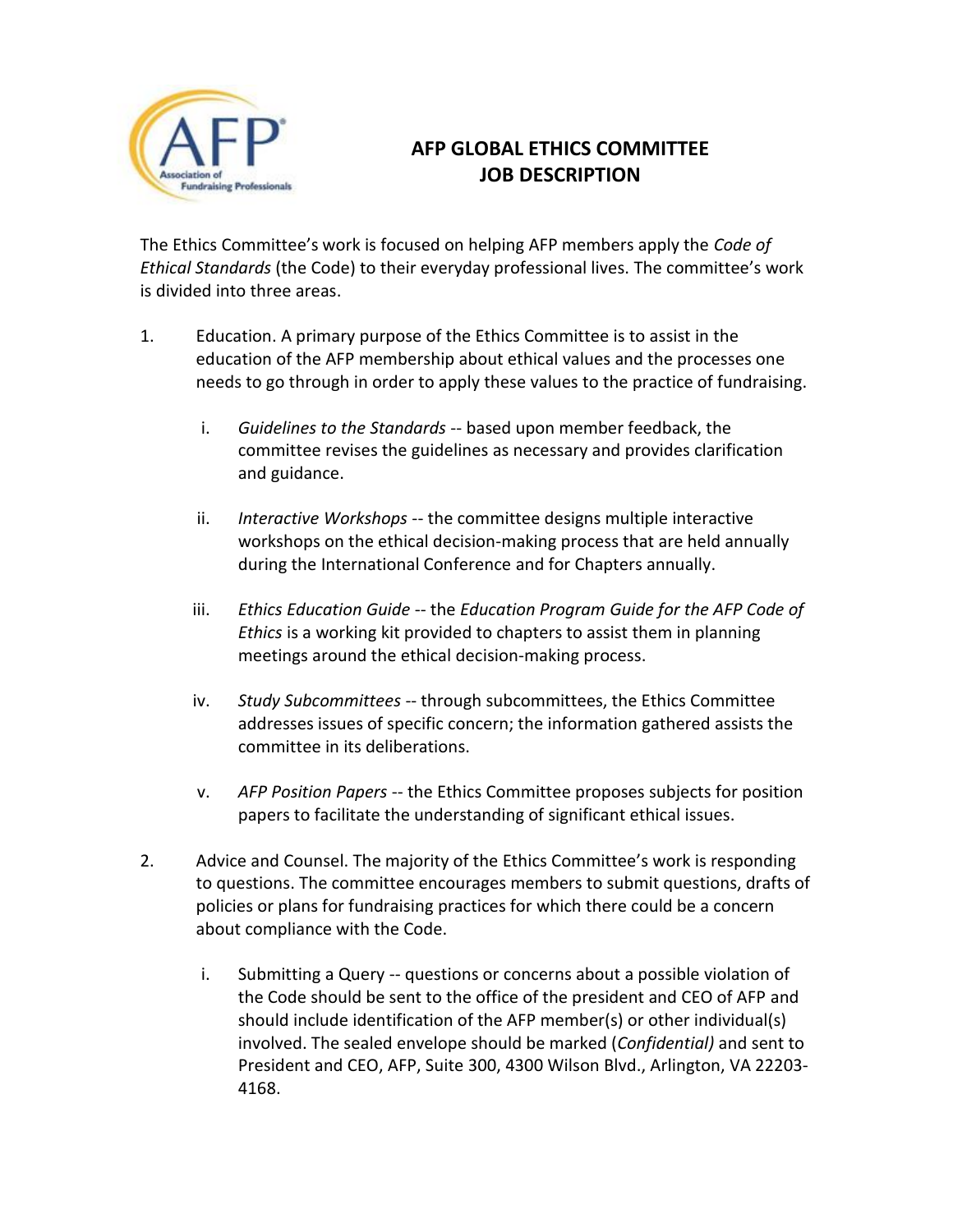

## **AFP GLOBAL ETHICS COMMITTEE JOB DESCRIPTION**

The Ethics Committee's work is focused on helping AFP members apply the *Code of Ethical Standards* (the Code) to their everyday professional lives. The committee's work is divided into three areas.

- 1. Education. A primary purpose of the Ethics Committee is to assist in the education of the AFP membership about ethical values and the processes one needs to go through in order to apply these values to the practice of fundraising.
	- i. *Guidelines to the Standards* -- based upon member feedback, the committee revises the guidelines as necessary and provides clarification and guidance.
	- ii. *Interactive Workshops* -- the committee designs multiple interactive workshops on the ethical decision-making process that are held annually during the International Conference and for Chapters annually.
	- iii. *Ethics Education Guide* -- the *Education Program Guide for the AFP Code of Ethics* is a working kit provided to chapters to assist them in planning meetings around the ethical decision-making process.
	- iv. *Study Subcommittees* -- through subcommittees, the Ethics Committee addresses issues of specific concern; the information gathered assists the committee in its deliberations.
	- v. *AFP Position Papers* -- the Ethics Committee proposes subjects for position papers to facilitate the understanding of significant ethical issues.
- 2. Advice and Counsel. The majority of the Ethics Committee's work is responding to questions. The committee encourages members to submit questions, drafts of policies or plans for fundraising practices for which there could be a concern about compliance with the Code.
	- i. Submitting a Query -- questions or concerns about a possible violation of the Code should be sent to the office of the president and CEO of AFP and should include identification of the AFP member(s) or other individual(s) involved. The sealed envelope should be marked (*Confidential)* and sent to President and CEO, AFP, Suite 300, 4300 Wilson Blvd., Arlington, VA 22203- 4168.